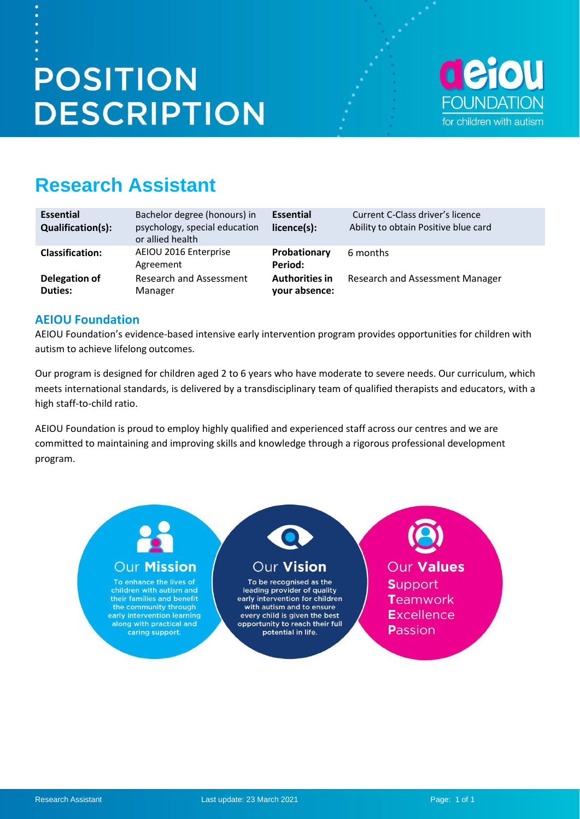# **POSITION DESCRIPTION**



# **Research Assistant**

| <b>Essential</b><br><b>Qualification(s):</b> | Bachelor degree (honours) in<br>psychology, special education<br>or allied health | <b>Essential</b><br>licence(s):        | Current C-Class driver's licence<br>Ability to obtain Positive blue card |
|----------------------------------------------|-----------------------------------------------------------------------------------|----------------------------------------|--------------------------------------------------------------------------|
| <b>Classification:</b>                       | AEIOU 2016 Enterprise<br>Agreement                                                | Probationary<br>Period:                | 6 months                                                                 |
| Delegation of<br><b>Duties:</b>              | Research and Assessment<br>Manager                                                | <b>Authorities in</b><br>your absence: | <b>Research and Assessment Manager</b>                                   |

#### **AEIOU Foundation**

AEIOU Foundation's evidence-based intensive early intervention program provides opportunities for children with autism to achieve lifelong outcomes.

Our program is designed for children aged 2 to 6 years who have moderate to severe needs. Our curriculum, which meets international standards, is delivered by a transdisciplinary team of qualified therapists and educators, with a high staff-to-child ratio.

AEIOU Foundation is proud to employ highly qualified and experienced staff across our centres and we are committed to maintaining and improving skills and knowledge through a rigorous professional development program.

# **Our Mission**

To enhance the lives of children with autism and their families and benefit the community through early intervention learning along with practical and caring support.

# **Our Vision**

To be recognised as the leading provider of quality early intervention for children with autism and to ensure every child is given the best opportunity to reach their full potential in life.

## Our Values **Support** Teamwork **Excellence Passion**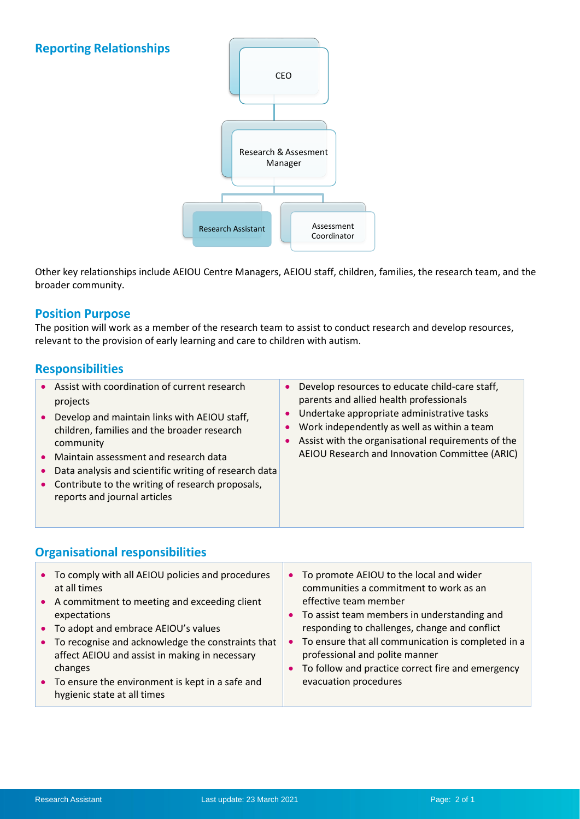#### **Reporting Relationships**



Other key relationships include AEIOU Centre Managers, AEIOU staff, children, families, the research team, and the broader community.

#### **Position Purpose**

The position will work as a member of the research team to assist to conduct research and develop resources, relevant to the provision of early learning and care to children with autism.

#### **Responsibilities**

| • Assist with coordination of current research<br>$\bullet$<br>projects<br>$\bullet$<br>Develop and maintain links with AEIOU staff,<br>children, families and the broader research<br>community<br>Maintain assessment and research data<br>Data analysis and scientific writing of research data<br>Contribute to the writing of research proposals,<br>reports and journal articles | Develop resources to educate child-care staff,<br>parents and allied health professionals<br>Undertake appropriate administrative tasks<br>Work independently as well as within a team<br>Assist with the organisational requirements of the<br>AEIOU Research and Innovation Committee (ARIC) |
|----------------------------------------------------------------------------------------------------------------------------------------------------------------------------------------------------------------------------------------------------------------------------------------------------------------------------------------------------------------------------------------|------------------------------------------------------------------------------------------------------------------------------------------------------------------------------------------------------------------------------------------------------------------------------------------------|
|----------------------------------------------------------------------------------------------------------------------------------------------------------------------------------------------------------------------------------------------------------------------------------------------------------------------------------------------------------------------------------------|------------------------------------------------------------------------------------------------------------------------------------------------------------------------------------------------------------------------------------------------------------------------------------------------|

### **Organisational responsibilities**

| • To comply with all AEIOU policies and procedures<br>at all times                                               | • To promote AEIOU to the local and wider<br>communities a commitment to work as an                                                         |
|------------------------------------------------------------------------------------------------------------------|---------------------------------------------------------------------------------------------------------------------------------------------|
| • A commitment to meeting and exceeding client<br>expectations                                                   | effective team member<br>• To assist team members in understanding and                                                                      |
| • To adopt and embrace AEIOU's values                                                                            | responding to challenges, change and conflict                                                                                               |
| • To recognise and acknowledge the constraints that<br>affect AEIOU and assist in making in necessary<br>changes | • To ensure that all communication is completed in a<br>professional and polite manner<br>To follow and practice correct fire and emergency |
| • To ensure the environment is kept in a safe and<br>hygienic state at all times                                 | evacuation procedures                                                                                                                       |